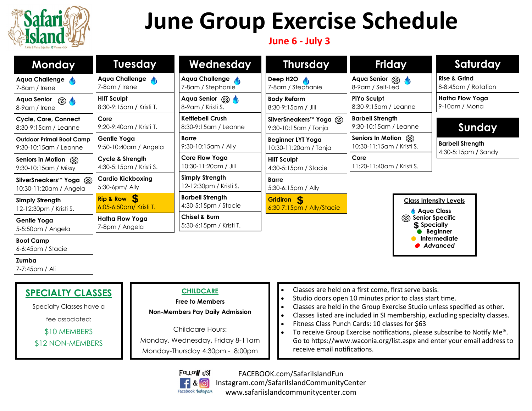

# **June Group Exercise Schedule**

## **June 6 - July 3**

| <b>Monday</b>                                                                           | <b>Tuesday</b>                                         | Wednesday                                                                                                       | <b>Thursday</b>                                                                                                                                                                                                                                                                                                                                                                                                                                                          | <b>Friday</b>                                       | Saturday                                                |  |
|-----------------------------------------------------------------------------------------|--------------------------------------------------------|-----------------------------------------------------------------------------------------------------------------|--------------------------------------------------------------------------------------------------------------------------------------------------------------------------------------------------------------------------------------------------------------------------------------------------------------------------------------------------------------------------------------------------------------------------------------------------------------------------|-----------------------------------------------------|---------------------------------------------------------|--|
| Aqua Challenge<br>7-8am / Irene                                                         | Aqua Challenge<br>7-8am / Irene                        | Aqua Challenge<br>7-8am / Stephanie                                                                             | Deep H2O $\sqrt{ }$<br>7-8am / Stephanie                                                                                                                                                                                                                                                                                                                                                                                                                                 | Aqua Senior (SS)<br>8-9am / Self-Led                | <b>Rise &amp; Grind</b><br>8-8:45am / Rotation          |  |
| <b>Aqua Senior</b><br>$\circ$<br>8-9am / Irene                                          | <b>HIIT Sculpt</b><br>8:30-9:15am / Kristi T.          | Aqua Senior (SS)<br>8-9 am / Kristi S.                                                                          | <b>Body Reform</b><br>8:30-9:15am / Jill                                                                                                                                                                                                                                                                                                                                                                                                                                 | <b>PiYo Sculpt</b><br>8:30-9:15am / Leanne          | Hatha Flow Yoga<br>9-10am / Mona                        |  |
| Cycle, Core, Connect<br>8:30-9:15am / Leanne                                            | Core<br>9:20-9:40am / Kristi T.                        | <b>Kettlebell Crush</b><br>8:30-9:15am / Leanne                                                                 | SilverSneakers <sup>™</sup> Yoga (SS)<br>9:30-10:15am / Tonja                                                                                                                                                                                                                                                                                                                                                                                                            | <b>Barbell Strength</b><br>9:30-10:15am / Leanne    | Sunday                                                  |  |
| <b>Outdoor Primal Boot Camp</b><br>9:30-10:15am / Leanne                                | <b>Gentle Yoga</b><br>9:50-10:40am / Angela            | <b>Barre</b><br>9:30-10:15am / Ally                                                                             | <b>Beginner LYT Yoga</b><br>10:30-11:20am / Tonja                                                                                                                                                                                                                                                                                                                                                                                                                        | Seniors In Motion (SS)<br>10:30-11:15am / Kristi S. | <b>Barbell Strength</b><br>4:30-5:15pm / Sandy          |  |
| Seniors in Motion (SS)<br>9:30-10:15am / Missy                                          | <b>Cycle &amp; Strength</b><br>4:30-5:15pm / Kristi S. | <b>Core Flow Yoga</b><br>10:30-11:20am / Jill                                                                   | <b>HIIT Sculpt</b><br>4:30-5:15pm / Stacie                                                                                                                                                                                                                                                                                                                                                                                                                               | Core<br>11:20-11:40am / Kristi S.                   |                                                         |  |
| SilverSneakers <sup>™</sup> Yoga (SS)<br>10:30-11:20am / Angela                         | <b>Cardio Kickboxing</b><br>5:30-6pm/ Ally             | <b>Simply Strength</b><br>12-12:30pm / Kristi S.                                                                | <b>Barre</b><br>5:30-6:15pm / Ally                                                                                                                                                                                                                                                                                                                                                                                                                                       |                                                     |                                                         |  |
| <b>Simply Strength</b><br>12-12:30pm / Kristi S.                                        | Rip & Row \$<br>6:05-6:50pm/ Kristi T.                 | <b>Barbell Strength</b><br>4:30-5:15pm / Stacie                                                                 | Gridiron <sub>S</sub><br>6:30-7:15pm / Ally/Stacie                                                                                                                                                                                                                                                                                                                                                                                                                       | <b>Class Intensity Levels</b><br><b>Aqua Class</b>  |                                                         |  |
| Gentle Yoga<br>5-5:50pm / Angela                                                        | <b>Hatha Flow Yoga</b><br>7-8pm / Angela               | <b>Chisel &amp; Burn</b><br>5:30-6:15pm / Kristi T.                                                             |                                                                                                                                                                                                                                                                                                                                                                                                                                                                          |                                                     | (SS) Senior Specific<br>\$ Specialty<br><b>Beginner</b> |  |
| <b>Boot Camp</b><br>$6-6:45$ pm / Stacie                                                |                                                        |                                                                                                                 |                                                                                                                                                                                                                                                                                                                                                                                                                                                                          |                                                     | Intermediate<br>Advanced                                |  |
| Zumba<br>7-7:45pm / Ali                                                                 |                                                        |                                                                                                                 |                                                                                                                                                                                                                                                                                                                                                                                                                                                                          |                                                     |                                                         |  |
| <b>SPECIALTY CLASSES</b><br>Specialty Classes have a<br>fee associated:<br>\$10 MEMBERS |                                                        | <b>CHILDCARE</b><br><b>Free to Members</b><br><b>Non-Members Pay Daily Admission</b><br><b>Childcare Hours:</b> | Classes are held on a first come, first serve basis.<br>$\bullet$<br>Studio doors open 10 minutes prior to class start time.<br>$\bullet$<br>Classes are held in the Group Exercise Studio unless specified as other.<br>$\bullet$<br>Classes listed are included in SI membership, excluding specialty classes.<br>$\bullet$<br>Fitness Class Punch Cards: 10 classes for \$63<br>$\bullet$<br>To receive Group Exercise notifications, please subscribe to Notify Me®. |                                                     |                                                         |  |

\$12 NON-MEMBERS

Childcare Hours: Monday, Wednesday, Friday 8-11am Monday-Thursday 4:30pm - 8:00pm

To receive Group Exercise notifications, please subscribe to Notify Me $^{\circ}$ . Go to https://www.waconia.org/list.aspx and enter your email address to receive email notifications.



FACEBOOK.com/SafariIslandFun Instagram.com/SafariIslandCommunityCenter www.safariislandcommunitycenter.com